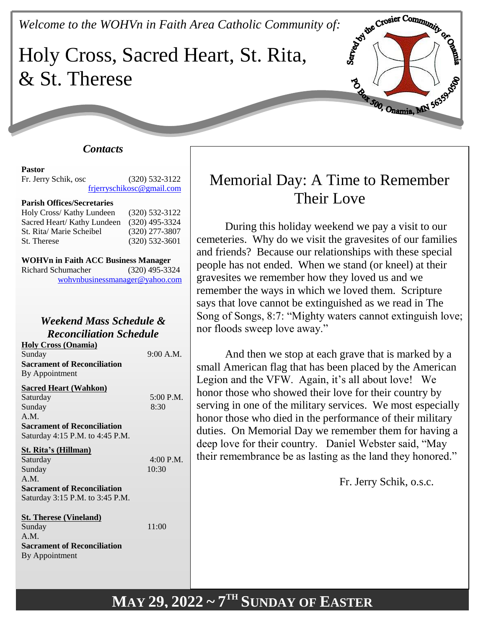*Welcome to the WOHVn in Faith Area Catholic Community of:*

# Holy Cross, Sacred Heart, St. Rita, & St. Therese



#### **Pastor** Fr. Jerry Schik, osc (320) 532-3122 [frjerryschikosc@gmail.com](mailto:frjerryschikosc@gmail.com)

#### **Parish Offices/Secretaries**

| Holy Cross/ Kathy Lundeen   | $(320)$ 532-3122 |
|-----------------------------|------------------|
| Sacred Heart/ Kathy Lundeen | $(320)$ 495-3324 |
| St. Rita/ Marie Scheibel    | $(320)$ 277-3807 |
| St. Therese                 | $(320)$ 532-3601 |

| <b>WOHVn in Faith ACC Business Manager</b> |                  |
|--------------------------------------------|------------------|
| Richard Schumacher                         | $(320)$ 495-3324 |
| wohynbusinessmanager@yahoo.com             |                  |

# *Weekend Mass Schedule & Reconciliation Schedule*

**Holy Cross (Onamia)** Sunday 9:00 A.M. **Sacrament of Reconciliation** By Appointment

#### **Sacred Heart (Wahkon)**

| Saturday                           | 5:00 P.M. |
|------------------------------------|-----------|
| Sunday                             | 8:30      |
| A.M.                               |           |
| <b>Sacrament of Reconciliation</b> |           |
| Saturday 4:15 P.M. to 4:45 P.M.    |           |
| <b>St. Rita's (Hillman)</b>        |           |
| Saturday                           | 4:00 P.M. |
| Sunday                             | 10:30     |
| A.M.                               |           |
| <b>Sacrament of Reconciliation</b> |           |
| Saturday 3:15 P.M. to 3:45 P.M.    |           |
| <b>St. Therese (Vineland)</b>      |           |

| Sunday                             | 11:00 |
|------------------------------------|-------|
| A.M.                               |       |
| <b>Sacrament of Reconciliation</b> |       |
| By Appointment                     |       |

# Memorial Day: A Time to Remember Their Love

**SERVE CROSSET COMMUNITY OF BEE** 

B Box 500, Onamia, MN 56359

During this holiday weekend we pay a visit to our cemeteries. Why do we visit the gravesites of our families and friends? Because our relationships with these special people has not ended. When we stand (or kneel) at their gravesites we remember how they loved us and we remember the ways in which we loved them. Scripture says that love cannot be extinguished as we read in The Song of Songs, 8:7: "Mighty waters cannot extinguish love; nor floods sweep love away."

And then we stop at each grave that is marked by a small American flag that has been placed by the American Legion and the VFW. Again, it's all about love! We honor those who showed their love for their country by serving in one of the military services. We most especially honor those who died in the performance of their military duties. On Memorial Day we remember them for having a deep love for their country. Daniel Webster said, "May their remembrance be as lasting as the land they honored."

Fr. Jerry Schik, o.s.c.

# **MAY 29, 2022 ~ 7 TH SUNDAY OF EASTER**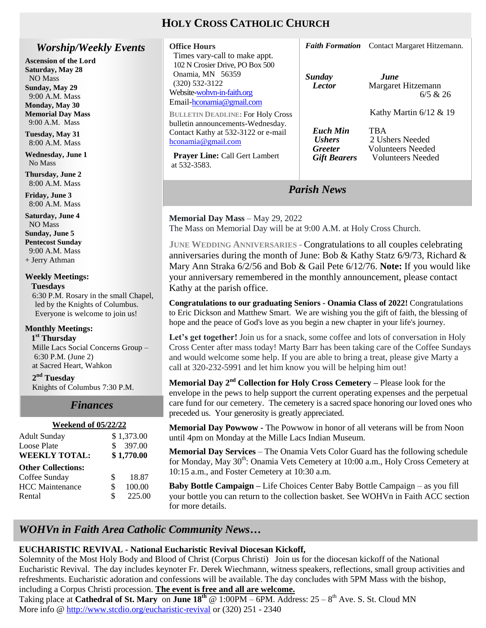# **HOLY CROSS CATHOLIC CHURCH**

**Office Hours**

# *Worship/Weekly Events*

**Ascension of the Lord Saturday, May 28** NO Mass **Sunday, May 29** 9:00 A.M. Mass **Monday, May 30 Memorial Day Mass** 9:00 A.M. Mass

**Tuesday, May 31** 8:00 A.M. Mass

**Wednesday, June 1** No Mass

**Thursday, June 2** 8:00 A.M. Mass

**Friday, June 3** 8:00 A.M. Mass

**Saturday, June 4** NO Mass **Sunday, June 5 Pentecost Sunday** 9:00 A.M. Mass + Jerry Athman

#### **Weekly Meetings: Tuesdays**

6:30 P.M. Rosary in the small Chapel, led by the Knights of Columbus. Everyone is welcome to join us!

#### **Monthly Meetings:**

 **1 st Thursday** 

Mille Lacs Social Concerns Group – 6:30 P.M. (June 2) at Sacred Heart, Wahkon

**2 nd Tuesday**

Knights of Columbus 7:30 P.M.

#### *Finances Finances*

| <b>Weekend of 05/22/22</b> |              |            |
|----------------------------|--------------|------------|
| <b>Adult Sunday</b>        |              | \$1,373.00 |
| Loose Plate                | $\mathbf{s}$ | 397.00     |
| <b>WEEKLY TOTAL:</b>       |              | \$1,770.00 |
| <b>Other Collections:</b>  |              |            |
| Coffee Sunday              | \$           | 18.87      |
| <b>HCC</b> Maintenance     | \$           | 100.00     |
| Rental                     | \$           | 225.00     |
|                            |              |            |

| Times vary-call to make appt.<br>102 N Crosier Drive, PO Box 500<br>Onamia, MN 56359<br>$(320)$ 532-3122<br>Website-wohyn-in-faith.org<br>Email-hconamia@gmail.com<br><b>BULLETIN DEADLINE: For Holy Cross</b> | Sunday<br><b>Lector</b>                                                   | June<br>Margaret Hitzemann<br>6/5 & 26<br>Kathy Martin $6/12 \& 19$     |
|----------------------------------------------------------------------------------------------------------------------------------------------------------------------------------------------------------------|---------------------------------------------------------------------------|-------------------------------------------------------------------------|
| bulletin announcements-Wednesday.<br>Contact Kathy at 532-3122 or e-mail<br>hconamia@gmail.com<br><b>Prayer Line: Call Gert Lambert</b><br>at 532-3583.                                                        | Euch Min<br><i><b>Ushers</b></i><br><b>Greeter</b><br><b>Gift Bearers</b> | TBA<br>2 Ushers Needed<br><b>Volunteers</b> Needed<br>Volunteers Needed |
|                                                                                                                                                                                                                | <b>Parish News</b>                                                        |                                                                         |

*Faith Formation* Contact Margaret Hitzemann.

**Memorial Day Mass** – May 29, 2022 The Mass on Memorial Day will be at 9:00 A.M. at Holy Cross Church.

**JUNE WEDDING ANNIVERSARIES -** Congratulations to all couples celebrating anniversaries during the month of June: Bob & Kathy Statz  $6/9/73$ , Richard & Mary Ann Straka 6/2/56 and Bob & Gail Pete 6/12/76. **Note:** If you would like your anniversary remembered in the monthly announcement, please contact Kathy at the parish office.

**Congratulations to our graduating Seniors - Onamia Class of 2022!** Congratulations to Eric Dickson and Matthew Smart. We are wishing you the gift of faith, the blessing of hope and the peace of God's love as you begin a new chapter in your life's journey.

Let's get together! Join us for a snack, some coffee and lots of conversation in Holy Cross Center after mass today! Marty Barr has been taking care of the Coffee Sundays and would welcome some help. If you are able to bring a treat, please give Marty a call at 320-232-5991 and let him know you will be helping him out!

**Memorial Day 2nd Collection for Holy Cross Cemetery –** Please look for the envelope in the pews to help support the current operating expenses and the perpetual care fund for our cemetery. The cemetery is a sacred space honoring our loved ones who preceded us. Your generosity is greatly appreciated.

**Memorial Day Powwow -** The Powwow in honor of all veterans will be from Noon until 4pm on Monday at the Mille Lacs Indian Museum.

**Memorial Day Services** – The Onamia Vets Color Guard has the following schedule for Monday, May 30<sup>th</sup>: Onamia Vets Cemetery at 10:00 a.m., Holy Cross Cemetery at 10:15 a.m., and Foster Cemetery at 10:30 a.m.

**Baby Bottle Campaign –** Life Choices Center Baby Bottle Campaign – as you fill your bottle you can return to the collection basket. See WOHVn in Faith ACC section for more details.

# *WOHVn in Faith Area Catholic Community News…*

# **EUCHARISTIC REVIVAL - National Eucharistic Revival Diocesan Kickoff,**

Solemnity of the Most Holy Body and Blood of Christ (Corpus Christi) Join us for the diocesan kickoff of the National Eucharistic Revival. The day includes keynoter Fr. Derek Wiechmann, witness speakers, reflections, small group activities and refreshments. Eucharistic adoration and confessions will be available. The day concludes with 5PM Mass with the bishop, including a Corpus Christi procession. **The event is free and all are welcome.** 

Taking place at **Cathedral of St. Mary** on **June 18<sup>th</sup>** @ 1:00PM – 6PM. Address:  $25 - 8$ <sup>th</sup> Ave. S. St. Cloud MN More info @<http://www.stcdio.org/eucharistic-revival> or (320) 251 - 2340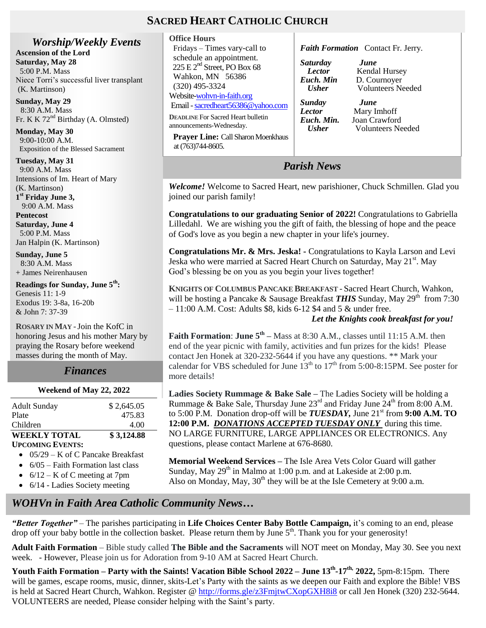# **SACRED HEART CATHOLIC CHURCH**

at (763)744-8605.

*Worship/Weekly Events* **Ascension of the Lord Saturday, May 28** 5:00 P.M. Mass Niece Torri's successful liver transplant (K. Martinson)

**Sunday, May 29** 8:30 A.M. Mass Fr. K K  $72<sup>nd</sup>$  Birthday (A. Olmsted)

**Monday, May 30** 9:00-10:00 A.M. Exposition of the Blessed Sacrament

**Tuesday, May 31** 9:00 A.M. Mass Intensions of Im. Heart of Mary (K. Martinson) **1 st Friday June 3,** 

9:00 A.M. Mass **Pentecost Saturday, June 4**

 5:00 P.M. Mass Jan Halpin (K. Martinson)

**Sunday, June 5** 8:30 A.M. Mass + James Neirenhausen

**Readings for Sunday, June 5th:** Genesis 11: 1-9 Exodus 19: 3-8a, 16-20b & John 7: 37-39

**ROSARY IN MAY -**Join the KofC in honoring Jesus and his mother Mary by praying the Rosary before weekend masses during the month of May.

#### *Finances*

# **Weekend of May 22, 2022**

| <b>Adult Sunday</b> | \$2,645.05 |
|---------------------|------------|
| Plate               | 475.83     |
| Children            | 4.00       |
| <b>WEEKLY TOTAL</b> | \$3,124.88 |
| Hecoming Events•    |            |

- **UPCOMING EVENTS:**
- $\bullet$  05/29 K of C Pancake Breakfast
- $\bullet$  6/05 Faith Formation last class
- $6/12 K$  of C meeting at 7pm
- 6/14 Ladies Society meeting

**Office Hours** Fridays – Times vary-call to schedule an appointment.  $225 \text{ E } 2^{\text{nd}}$  Street, PO Box 68 Wahkon, MN 56386 (320) 495-3324 Website[-wohvn-in-faith.org](http://www.stclouddiocese.org/parishes/%20%20%20%20hconamia/)  Email [-sacredheart56386@yahoo.com](mailto:sacredheart56386@yahoo.com) **DEADLINE** For Sacred Heart bulletin announcements-Wednesday. **Prayer Line:** Call Sharon Moenkhaus *Faith Formation* Contact Fr. Jerry. *Saturday June Lector* **Kendal Hursey**<br>*Euch. Min* **D. Cournoyer** *Euch. Min Let D. Cournoyer*<br>*Eucher Volunteers Ne Sunday June* **Lector** Mary Imhoff<br>*Euch. Min.* Ioan Crawforc *Euch. Min.* Joan Crawford<br>*Usher* Volunteers Ne

*Parish News*

*Welcome!* Welcome to Sacred Heart, new parishioner, Chuck Schmillen. Glad you joined our parish family!

**Congratulations to our graduating Senior of 2022!** Congratulations to Gabriella Lilledahl. We are wishing you the gift of faith, the blessing of hope and the peace of God's love as you begin a new chapter in your life's journey.

**Congratulations Mr. & Mrs. Jeska! -** Congratulations to Kayla Larson and Levi Jeska who were married at Sacred Heart Church on Saturday, May 21<sup>st</sup>. May God's blessing be on you as you begin your lives together!

**KNIGHTS OF COLUMBUS PANCAKE BREAKFAST -** Sacred Heart Church, Wahkon, will be hosting a Pancake & Sausage Breakfast **THIS** Sunday, May 29<sup>th</sup> from 7:30 – 11:00 A.M. Cost: Adults \$8, kids 6-12 \$4 and 5 & under free.

#### *Let the Knights cook breakfast for you!*

 *Usher* Volunteers Needed

*Usher* Volunteers Needed

**Faith Formation: June**  $5^{th}$  – Mass at 8:30 A.M., classes until 11:15 A.M. then end of the year picnic with family, activities and fun prizes for the kids! Please contact Jen Honek at 320-232-5644 if you have any questions. \*\* Mark your calendar for VBS scheduled for June  $13<sup>th</sup>$  to  $17<sup>th</sup>$  from 5:00-8:15PM. See poster for more details!

**Ladies Society Rummage & Bake Sale –** The Ladies Society will be holding a Rummage & Bake Sale, Thursday June  $23<sup>rd</sup>$  and Friday June  $24<sup>th</sup>$  from 8:00 A.M. to 5:00 P.M. Donation drop-off will be  $TUESDAY$ , June  $21<sup>st</sup>$  from 9:00 A.M. TO **12:00 P.M.** *DONATIONS ACCEPTED TUESDAY ONLY* during this time. NO LARGE FURNITURE, LARGE APPLIANCES OR ELECTRONICS. Any questions, please contact Marlene at 676-8680.

**Memorial Weekend Services –** The Isle Area Vets Color Guard will gather Sunday, May  $29<sup>th</sup>$  in Malmo at 1:00 p.m. and at Lakeside at 2:00 p.m. Also on Monday, May,  $30<sup>th</sup>$  they will be at the Isle Cemetery at 9:00 a.m.

# *WOHVn in Faith Area Catholic Community News…*

*"Better Together"* – The parishes participating in **Life Choices Center Baby Bottle Campaign,** it's coming to an end, please drop off your baby bottle in the collection basket. Please return them by June  $5<sup>th</sup>$ . Thank you for your generosity!

**Adult Faith Formation** – Bible study called **The Bible and the Sacraments** will NOT meet on Monday, May 30. See you next week. - However, Please join us for Adoration from 9-10 AM at Sacred Heart Church.

t<br>e **Youth Faith Formation – Party with the Saints! Vacation Bible School 2022 – June 13th -17th, 2022,** 5pm-8:15pm. There will be games, escape rooms, music, dinner, skits-Let's Party with the saints as we deepen our Faith and explore the Bible! VBS is held at Sacred Heart Church, Wahkon. Register @<http://forms.gle/z3FmjtwCXopGXH8i8> or call Jen Honek (320) 232-5644. VOLUNTEERS are needed, Please consider helping with the Saint's party.